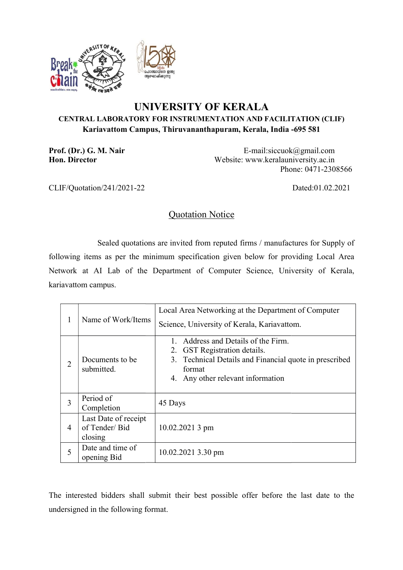

## UNIVERSITY OF KERALA CENTRAL LABORATORY FOR INSTRUMENTATION AND FACILITATION (CLIF) Kariavattom Campus, Thiruvananthapuram, Kerala, India -695 581<br>|-<br>| E-mail:siccuok@gmail.com

Prof. (Dr.) G. M. Nair Hon. Director

 Website: www.keralauniversity.ac.in E-mail:siccuok@gmail.com<br>Website: www.keralauniversity.ac.in<br>Phone: 0471-2308566

CLIF/Quotation/241/2021-22

Dated:01.02.2021

## Quotation Notice

 Sealed quotations are invited from reputed firms / manufactures for Supply of following items as per the minimum specification given below for providing Local Area Sealed quotations are invited from reputed firms / manufactures for Supply of following items as per the minimum specification given below for providing Local Area<br>Network at AI Lab of the Department of Computer Science, U kariavattom campus.

| 1              | Name of Work/Items                               | Local Area Networking at the Department of Computer<br>Science, University of Kerala, Kariavattom.                                                                                  |  |  |  |  |  |
|----------------|--------------------------------------------------|-------------------------------------------------------------------------------------------------------------------------------------------------------------------------------------|--|--|--|--|--|
| $\overline{2}$ | Documents to be.<br>submitted.                   | Address and Details of the Firm.<br><b>GST</b> Registration details.<br>2.<br>3. Technical Details and Financial quote in prescribed<br>format<br>4. Any other relevant information |  |  |  |  |  |
| 3              | Period of<br>Completion                          | 45 Days                                                                                                                                                                             |  |  |  |  |  |
| 4              | Last Date of receipt<br>of Tender/Bid<br>closing | 10.02.2021 3 pm                                                                                                                                                                     |  |  |  |  |  |
| 5              | Date and time of<br>opening Bid                  | 10.02.2021 3.30 pm                                                                                                                                                                  |  |  |  |  |  |
|                |                                                  | e interested bidders shall submit their best possible offer before the last date to the                                                                                             |  |  |  |  |  |

The interested bidders shall submit their best possible offer before the last date to the undersigned in the following format.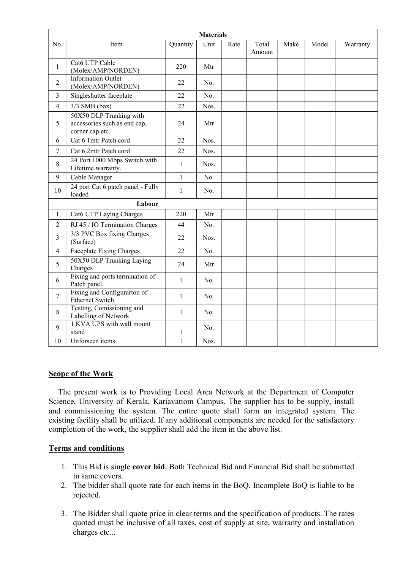| <b>Materials</b> |                                                                            |              |      |      |                 |      |       |          |  |  |
|------------------|----------------------------------------------------------------------------|--------------|------|------|-----------------|------|-------|----------|--|--|
| No.              | Item                                                                       | Quantity     | Unit | Rate | Total<br>Amount | Make | Model | Warranty |  |  |
| $\mathbf{1}$     | Cat6 UTP Cable<br>(Molex/AMP/NORDEN)                                       | 220          | Mtr  |      |                 |      |       |          |  |  |
| $\overline{2}$   | <b>Information Outlet</b><br>(Molex/AMP/NORDEN)                            | 22           | No.  |      |                 |      |       |          |  |  |
| $\overline{3}$   | Singleshutter faceplate                                                    | 22           | No.  |      |                 |      |       |          |  |  |
| $\overline{4}$   | $3/3$ SMB (box)                                                            | 22           | Nos. |      |                 |      |       |          |  |  |
| 5                | 50X50 DLP Trunking with<br>accessories such as end cap,<br>corner cap etc. | 24           | Mtr  |      |                 |      |       |          |  |  |
| 6                | Cat 6 1mtr Patch cord                                                      | 22           | Nos. |      |                 |      |       |          |  |  |
| $\overline{7}$   | Cat 6 2mtr Patch cord                                                      | 22           | Nos. |      |                 |      |       |          |  |  |
| $\,8\,$          | 24 Port 1000 Mbps Switch with<br>Lifetime warranty.                        | $\mathbf{1}$ | Nos. |      |                 |      |       |          |  |  |
| 9                | Cable Manager                                                              | $\mathbf{1}$ | No.  |      |                 |      |       |          |  |  |
| 10               | 24 port Cat 6 patch panel - Fully<br>loaded                                | $\mathbf{1}$ | No.  |      |                 |      |       |          |  |  |
|                  | Labour                                                                     |              |      |      |                 |      |       |          |  |  |
| 1                | Cat6 UTP Laying Charges                                                    | 220          | Mtr  |      |                 |      |       |          |  |  |
| $\overline{2}$   | RJ 45 / IO Termination Charges                                             | 44           | No.  |      |                 |      |       |          |  |  |
| 3                | 3/3 PVC Box fixing Charges<br>(Surface)                                    | 22           | Nos. |      |                 |      |       |          |  |  |
| $\overline{4}$   | <b>Faceplate Fixing Charges</b>                                            | 22           | No.  |      |                 |      |       |          |  |  |
| 5                | 50X50 DLP Trunking Laying<br>Charges                                       | 24           | Mtr  |      |                 |      |       |          |  |  |
| 6                | Fixing and ports termination of<br>Patch panel.                            | $\mathbf{1}$ | No.  |      |                 |      |       |          |  |  |
| $\tau$           | Fixing and Configurarton of<br><b>Ethernet Switch</b>                      | $\mathbf{1}$ | No.  |      |                 |      |       |          |  |  |
| $\,8\,$          | Testing, Comissioning and<br>Labelling of Network                          | $\mathbf{1}$ | No.  |      |                 |      |       |          |  |  |
| 9                | 1 KVA UPS with wall mount<br>stand                                         | 1            | No.  |      |                 |      |       |          |  |  |
| 10               | Unforseen items                                                            | $\mathbf{1}$ | Nos. |      |                 |      |       |          |  |  |

## Scope of the Work

 The present work is to Providing Local Area Network at the Department of Computer Science, University of Kerala, Kariavattom Campus. The supplier has to be supply, install and commissioning the system. The entire quote shall form an integrated system. The existing facility shall be utilized. If any additional components are needed for the satisfactory completion of the work, the supplier shall add the item in the above list.

## Terms and conditions

- 1. This Bid is single cover bid, Both Technical Bid and Financial Bid shall be submitted in same covers.
- 2. The bidder shall quote rate for each items in the BoQ. Incomplete BoQ is liable to be rejected.
- 3. The Bidder shall quote price in clear terms and the specification of products. The rates quoted must be inclusive of all taxes, cost of supply at site, warranty and installation charges etc...